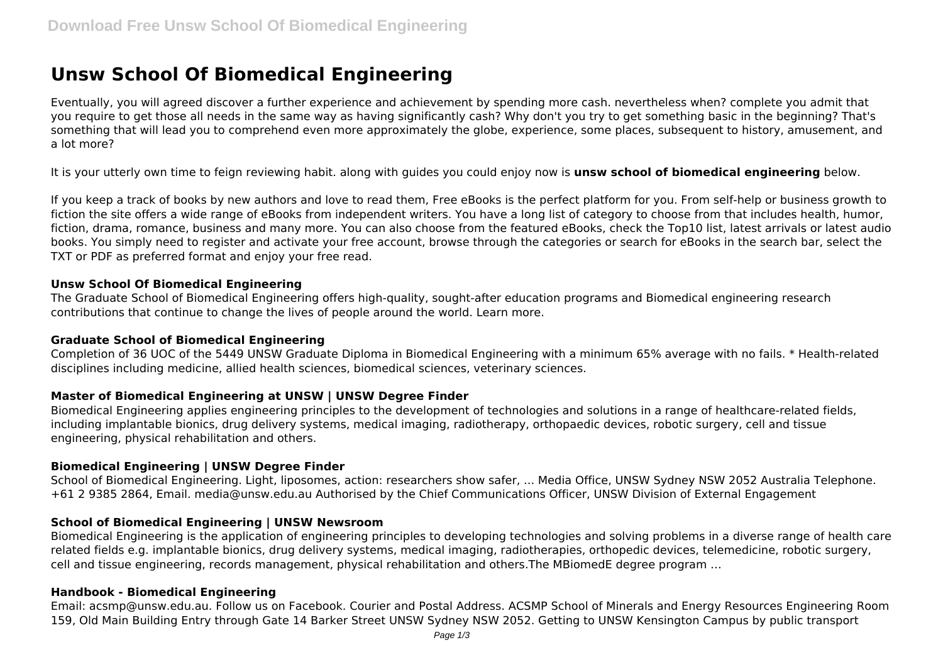# **Unsw School Of Biomedical Engineering**

Eventually, you will agreed discover a further experience and achievement by spending more cash. nevertheless when? complete you admit that you require to get those all needs in the same way as having significantly cash? Why don't you try to get something basic in the beginning? That's something that will lead you to comprehend even more approximately the globe, experience, some places, subsequent to history, amusement, and a lot more?

It is your utterly own time to feign reviewing habit. along with guides you could enjoy now is **unsw school of biomedical engineering** below.

If you keep a track of books by new authors and love to read them, Free eBooks is the perfect platform for you. From self-help or business growth to fiction the site offers a wide range of eBooks from independent writers. You have a long list of category to choose from that includes health, humor, fiction, drama, romance, business and many more. You can also choose from the featured eBooks, check the Top10 list, latest arrivals or latest audio books. You simply need to register and activate your free account, browse through the categories or search for eBooks in the search bar, select the TXT or PDF as preferred format and enjoy your free read.

## **Unsw School Of Biomedical Engineering**

The Graduate School of Biomedical Engineering offers high-quality, sought-after education programs and Biomedical engineering research contributions that continue to change the lives of people around the world. Learn more.

## **Graduate School of Biomedical Engineering**

Completion of 36 UOC of the 5449 UNSW Graduate Diploma in Biomedical Engineering with a minimum 65% average with no fails. \* Health-related disciplines including medicine, allied health sciences, biomedical sciences, veterinary sciences.

## **Master of Biomedical Engineering at UNSW | UNSW Degree Finder**

Biomedical Engineering applies engineering principles to the development of technologies and solutions in a range of healthcare-related fields, including implantable bionics, drug delivery systems, medical imaging, radiotherapy, orthopaedic devices, robotic surgery, cell and tissue engineering, physical rehabilitation and others.

#### **Biomedical Engineering | UNSW Degree Finder**

School of Biomedical Engineering. Light, liposomes, action: researchers show safer, ... Media Office, UNSW Sydney NSW 2052 Australia Telephone. +61 2 9385 2864, Email. media@unsw.edu.au Authorised by the Chief Communications Officer, UNSW Division of External Engagement

## **School of Biomedical Engineering | UNSW Newsroom**

Biomedical Engineering is the application of engineering principles to developing technologies and solving problems in a diverse range of health care related fields e.g. implantable bionics, drug delivery systems, medical imaging, radiotherapies, orthopedic devices, telemedicine, robotic surgery, cell and tissue engineering, records management, physical rehabilitation and others.The MBiomedE degree program …

#### **Handbook - Biomedical Engineering**

Email: acsmp@unsw.edu.au. Follow us on Facebook. Courier and Postal Address. ACSMP School of Minerals and Energy Resources Engineering Room 159, Old Main Building Entry through Gate 14 Barker Street UNSW Sydney NSW 2052. Getting to UNSW Kensington Campus by public transport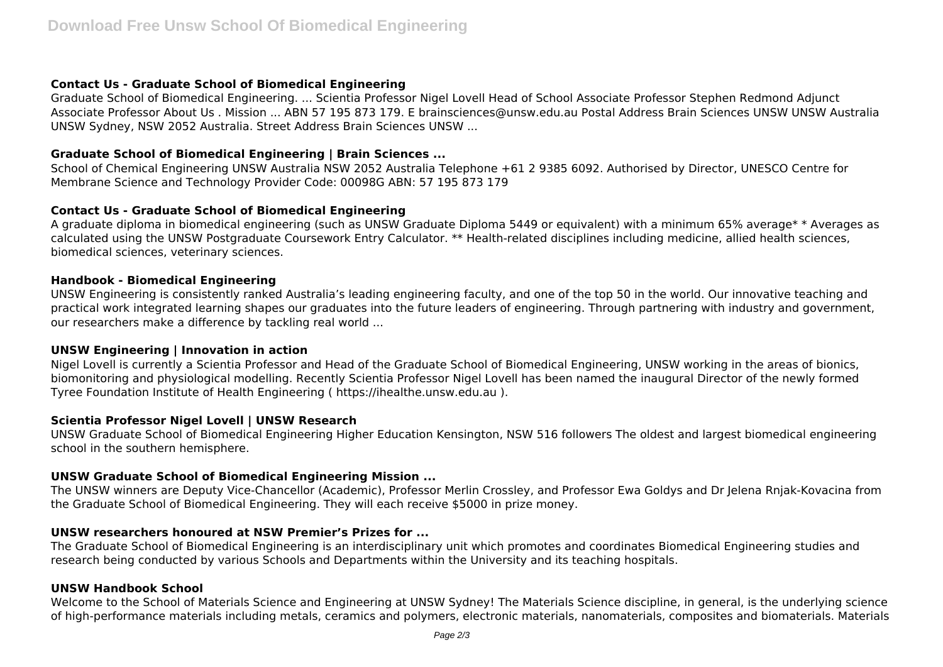# **Contact Us - Graduate School of Biomedical Engineering**

Graduate School of Biomedical Engineering. ... Scientia Professor Nigel Lovell Head of School Associate Professor Stephen Redmond Adjunct Associate Professor About Us . Mission ... ABN 57 195 873 179. E brainsciences@unsw.edu.au Postal Address Brain Sciences UNSW UNSW Australia UNSW Sydney, NSW 2052 Australia. Street Address Brain Sciences UNSW ...

## **Graduate School of Biomedical Engineering | Brain Sciences ...**

School of Chemical Engineering UNSW Australia NSW 2052 Australia Telephone +61 2 9385 6092. Authorised by Director, UNESCO Centre for Membrane Science and Technology Provider Code: 00098G ABN: 57 195 873 179

# **Contact Us - Graduate School of Biomedical Engineering**

A graduate diploma in biomedical engineering (such as UNSW Graduate Diploma 5449 or equivalent) with a minimum 65% average\* \* Averages as calculated using the UNSW Postgraduate Coursework Entry Calculator. \*\* Health-related disciplines including medicine, allied health sciences, biomedical sciences, veterinary sciences.

## **Handbook - Biomedical Engineering**

UNSW Engineering is consistently ranked Australia's leading engineering faculty, and one of the top 50 in the world. Our innovative teaching and practical work integrated learning shapes our graduates into the future leaders of engineering. Through partnering with industry and government, our researchers make a difference by tackling real world ...

## **UNSW Engineering | Innovation in action**

Nigel Lovell is currently a Scientia Professor and Head of the Graduate School of Biomedical Engineering, UNSW working in the areas of bionics, biomonitoring and physiological modelling. Recently Scientia Professor Nigel Lovell has been named the inaugural Director of the newly formed Tyree Foundation Institute of Health Engineering ( https://ihealthe.unsw.edu.au ).

# **Scientia Professor Nigel Lovell | UNSW Research**

UNSW Graduate School of Biomedical Engineering Higher Education Kensington, NSW 516 followers The oldest and largest biomedical engineering school in the southern hemisphere.

# **UNSW Graduate School of Biomedical Engineering Mission ...**

The UNSW winners are Deputy Vice-Chancellor (Academic), Professor Merlin Crossley, and Professor Ewa Goldys and Dr Jelena Rnjak-Kovacina from the Graduate School of Biomedical Engineering. They will each receive \$5000 in prize money.

# **UNSW researchers honoured at NSW Premier's Prizes for ...**

The Graduate School of Biomedical Engineering is an interdisciplinary unit which promotes and coordinates Biomedical Engineering studies and research being conducted by various Schools and Departments within the University and its teaching hospitals.

# **UNSW Handbook School**

Welcome to the School of Materials Science and Engineering at UNSW Sydney! The Materials Science discipline, in general, is the underlying science of high-performance materials including metals, ceramics and polymers, electronic materials, nanomaterials, composites and biomaterials. Materials